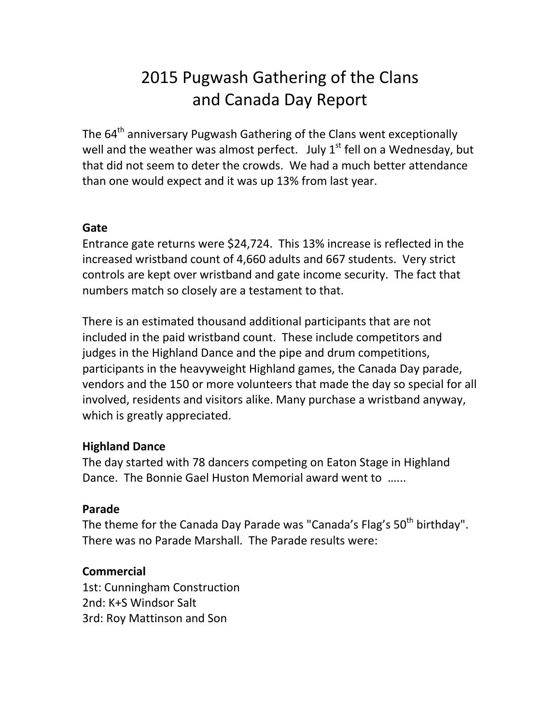# 2015 Pugwash Gathering of the Clans and Canada Day Report

The 64<sup>th</sup> anniversary Pugwash Gathering of the Clans went exceptionally well and the weather was almost perfect. July  $1<sup>st</sup>$  fell on a Wednesday, but that did not seem to deter the crowds. We had a much better attendance than one would expect and it was up 13% from last year.

### **Gate**

Entrance gate returns were \$24,724. This 13% increase is reflected in the increased wristband count of 4,660 adults and 667 students. Very strict controls are kept over wristband and gate income security. The fact that numbers match so closely are a testament to that.

There is an estimated thousand additional participants that are not included in the paid wristband count. These include competitors and judges in the Highland Dance and the pipe and drum competitions, participants in the heavyweight Highland games, the Canada Day parade, vendors and the 150 or more volunteers that made the day so special for all involved, residents and visitors alike. Many purchase a wristband anyway, which is greatly appreciated.

### **Highland Dance**

The day started with 78 dancers competing on Eaton Stage in Highland Dance. The Bonnie Gael Huston Memorial award went to …...

## **Parade**

The theme for the Canada Day Parade was "Canada's Flag's 50<sup>th</sup> birthday". There was no Parade Marshall. The Parade results were:

## **Commercial**

1st: Cunningham Construction 2nd: K+S Windsor Salt 3rd: Roy Mattinson and Son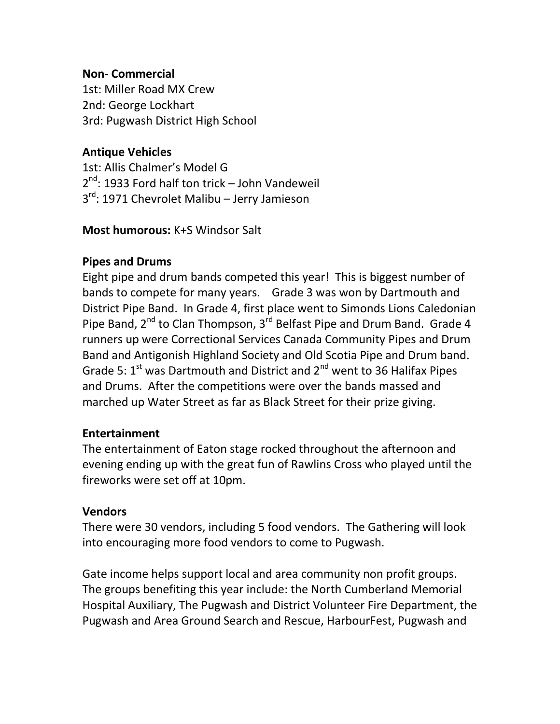### **Non- Commercial**

1st: Miller Road MX Crew 2nd: George Lockhart 3rd: Pugwash District High School

### **Antique Vehicles**

1st: Allis Chalmer's Model G 2<sup>nd</sup>: 1933 Ford half ton trick – John Vandeweil 3<sup>rd</sup>: 1971 Chevrolet Malibu – Jerry Jamieson

### **Most humorous:** K+S Windsor Salt

### **Pipes and Drums**

Eight pipe and drum bands competed this year! This is biggest number of bands to compete for many years. Grade 3 was won by Dartmouth and District Pipe Band. In Grade 4, first place went to Simonds Lions Caledonian Pipe Band,  $2^{nd}$  to Clan Thompson,  $3^{rd}$  Belfast Pipe and Drum Band. Grade 4 runners up were Correctional Services Canada Community Pipes and Drum Band and Antigonish Highland Society and Old Scotia Pipe and Drum band. Grade 5:  $1^{st}$  was Dartmouth and District and  $2^{nd}$  went to 36 Halifax Pipes and Drums. After the competitions were over the bands massed and marched up Water Street as far as Black Street for their prize giving.

### **Entertainment**

The entertainment of Eaton stage rocked throughout the afternoon and evening ending up with the great fun of Rawlins Cross who played until the fireworks were set off at 10pm.

#### **Vendors**

There were 30 vendors, including 5 food vendors. The Gathering will look into encouraging more food vendors to come to Pugwash.

Gate income helps support local and area community non profit groups. The groups benefiting this year include: the North Cumberland Memorial Hospital Auxiliary, The Pugwash and District Volunteer Fire Department, the Pugwash and Area Ground Search and Rescue, HarbourFest, Pugwash and